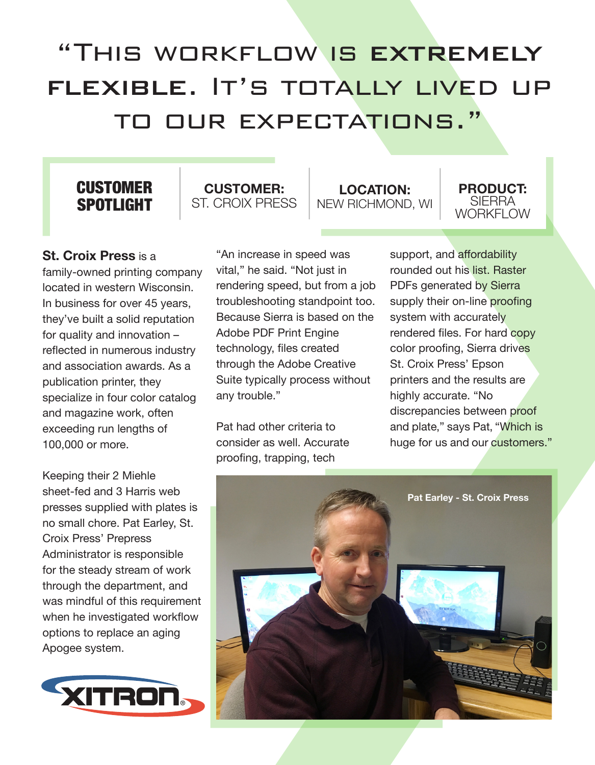# "This workflow is extremely flexible. It's totally lived up to our expectations."

## **CUSTOMER** SPOTLIGHT

## **CUSTOMER:** ST. CROIX PRESS

**LOCATION:** NEW RICHMOND, WI

#### **PRODUCT:** SIERRA WORKFI OW

## **St. Croix Press** is a

family-owned printing company located in western Wisconsin. In business for over 45 years, they've built a solid reputation for quality and innovation – reflected in numerous industry and association awards. As a publication printer, they specialize in four color catalog and magazine work, often exceeding run lengths of 100,000 or more.

Keeping their 2 Miehle sheet-fed and 3 Harris web presses supplied with plates is no small chore. Pat Earley, St. Croix Press' Prepress Administrator is responsible for the steady stream of work through the department, and was mindful of this requirement when he investigated workflow options to replace an aging Apogee system.



"An increase in speed was vital," he said. "Not just in rendering speed, but from a job troubleshooting standpoint too. Because Sierra is based on the Adobe PDF Print Engine technology, files created through the Adobe Creative Suite typically process without any trouble."

Pat had other criteria to consider as well. Accurate proofing, trapping, tech

support, and affordability rounded out his list. Raster PDFs generated by Sierra supply their on-line proofing system with accurately rendered files. For hard copy color proofing, Sierra drives St. Croix Press' Epson printers and the results are highly accurate. "No discrepancies between proof and plate," says Pat, "Which is huge for us and our customers."